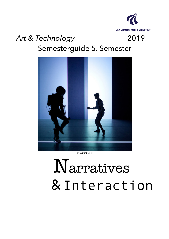

# *Art & Technology* 2019 Semesterguide 5. Semester



© Suguru Goto

# Narratives &Interaction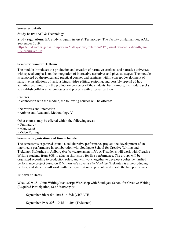#### **Semester details**

**Study board:** ArT & Technology

**Study regulations:** BA Study Program in Art & Technology, The Faculty of Humanities, AAU, September 2019:

https://studieordninger.aau.dk/preview?path=/admin/collection/1128/visualizationeducation/87/en-GB/True&ui=en-GB

#### **Semester framework theme**

The module introduces the production and creation of narrative artefacts and narrative universes with special emphasis on the integration of interactive narratives and physical stages. The module is supported by theoretical and practical courses and seminars within concept development of narrative installations of various kinds, video editing, scripting, and possibly special ad hoc activities evolving from the production processes of the students. Furthermore, the module seeks to establish collaborative processes and projects with external partners.

#### **Courses**

In connection with the module, the following courses will be offered:

- Narratives and Interaction
- Artistic and Academic Methodology V

Other courses may be offered within the following areas:

- Dramaturgy
- Manuscript
- Video Editing

#### **Semester organisation and time schedule**

The semester is organized around a collaborative performance project: the development of an intermedia performance in collaboration with Southgate School for Creative Writing and Trekanten Kulturhus in Aalborg Øst (www.trekanten.info). ArT students will work with Creative Writing students from SGS to adapt a short story for live performance. The groups will be organized according to production roles, and will work together to develop a cohesive, unified performance project based on E.M. Forster's novella *The Machine*. Trekanten is a co-producing partner, and students will work with the organization to promote and curate the live performance.

#### **Important Dates**

Week 36 & 38 - Joint Writing/Manuscript Workshop with Southgate School for Creative Writing (Required Participation, See *Manuscript*):

September 5th & 6<sup>th</sup>: 10:15-14:30h (CREATE)

September 19 & 20<sup>th</sup>: 10:15-14:30h (Trekanten)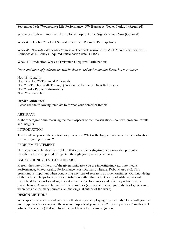September 18th (Wednesday) Life Performance: OW Bunker At Teater Norkraft (Required)

September 20th – Immersive Theatre Field Trip to Arhus: Signa's *Åbne Heart* (Optional)

Week 43: October 21 - Joint Semester Seminar (Required Participation)

Week 45: Nov 6-8 - Works-In-Progress & Feedback session (See MRT Mixed Realities) w. E. Edmonds & L. Candy (Required Participation details TBA)

Week 47: Production Week at Trekanten (Required Participation)

*Dates and times of performance will be determined by Production Team, but most likely*:

Nov 18 - Load-In Nov 19 - Nov 20 Technical Rehearsals Nov 21 - Teacher Walk Through (Preview Performance/Dress Rehearsal) Nov 22-24 - Public Performances Nov 25 - Load-Out

# **Report Guidelines**

Please use the following template to format your Semester Report.

# ABSTRACT

A short paragraph summarizing the main aspects of the investigation---context, problem, results, and insights.

# INTRODUCTION

This is where you set the context for your work. What is the big picture? What is the motivation for investigating this area?

# PROBLEM STATEMENT

Here you concisely state the problem that you are investigating. You may also present a hypothesis to be supported or rejected through your own experiments.

# BACKGROUND (STATE-OF-THE-ART)

Present the state-of-the-art of the given topic/area you are investigating (e.g. Intermedia Performance, Mixed-Reality Performance, Post-Dramatic Theatre, Robotic Art, etc). This grounding is important when conducting any type of research, as it demonstrates your knowledge of the field and helps locate your contribution within that field. Clearly identify significant theoretical frameworks and significant art works/performances and how they relate to your research area. Always reference refutable sources (i.e., peer-reviewed journals, books, etc.) and, when possible, primary sources (i.e., the original author of the work).

# DESIGN METHODS

What specific academic and artistic methods are you employing in your study? How will you test your hypotheses, or carry out the research aspects of your project? Identify at least 3 methods (1 artistic, 2 academic) that will form the backbone of your investigation.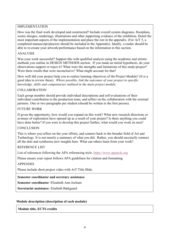# IMPLEMENTATION

How was the final work developed and constructed? Include overall system diagrams, floorplans, scenic designs, renderings, illustrations and other supporting evidence of the exhibition. Detail the most important aspects of the implementation and place the rest in the appendix. (For ArT 5, a completed manuscript/playtext should be included in the Appendix). Ideally, a reader should be able to re-create your artwork/performance based on the information in this section.

# ANALYSIS

Was your work successful? Support this with qualified analysis using the academic and artistic methods you outline in DESIGN METHODS section. If you made an initial hypothesis, do your observations support or reject it? What were the strengths and limitations of this study/project? Were there results that were inconclusive? What might account for that?

How well did your project help you to realize learning objectives of the Project Module? (It is a good idea to review these). *Where possible, link the outcomes of your project to specific knowledge, skills and competencies outlined in the main project module*.

# COLLABORATION

Each group member should provide individual descriptions and self-evaluations of their individual contribution to the production team, and reflect on the collaboration with the external partners. One or two paragraphs per student (should be written in the first person).

# FUTURE WORK

If given the opportunity, how would you expand on this work? What new research directions or avenues of exploration have opened up as a result of your project? Is there anything you could have done better? If you were to develop this project further, what would you work on next?

# **CONCLUSION**

This is where you reflect on the your efforts, and connect back to the broader field of Art and Technology. It is not merely a summary of what you did. Rather, you should succinctly connect all the dots and synthesize new insights here. What can others learn from your work?

# REFERENCE LIST

List of references following the APA referencing style. https://www.apastyle.org

Please ensure your report follows APA guidelines for citation and formatting.

# APPENDIX

Please include short project video with ArT Title Slide.

# **Semester coordinator and secretary assistance**

# **Semester coordinator**: Elizabeth Ann Jochum

**Secretariat assistance**: Elsebeth Bækgaard

#### **Module description (description of each module)**

**Module title, ECTS credits**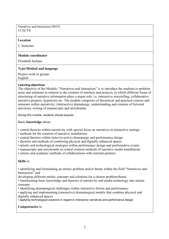Narratives and Interaction (M15) 15 ECTS

#### **Location**

5. Semester

#### **Module coordinator**

Elizabeth Jochum

#### **Type/Method and language**

Project work in groups English

#### **Learning objectives:**

The objective of the Module: "Narratives and Interaction" is to introduce the students to problem areas and solutions in relation to the creation of artefacts and projects, in which different forms of structuring of narrative information plays a major role, i.e. interactive storytelling, collaborative narrative projects, hypertexts etc. The module comprises of theoretical and practical courses and seminars within narrativity, (interactive) dramaturgy, understanding and creation of fictional universes, writing of manuscripts and storyboards.

During this module, students should acquire:

Basic **knowledge** about

- central theories within narrativity with special focus on narratives in interactive settings
- methods for the creation of narrative installations
- central theories within (inter/re-active) dramaturgy and performance design
- theories and methods of combining physical and digitally enhanced spaces
- artistic and technological strategies within performance design and performative events
- manuscripts and storyboards as central creation methods of narrative media installations
- artistic and academic methods of collaborations with external partners.

#### **Skills** in

• identifying and formulating an artistic problem and/or theme within the field "Narratives and Interaction" and

developing different artistic concepts and solutions for a chosen problem/theme

• transforming basic knowledge and theories of narrativity and media technology into artistic concepts

• identifying dramaturgical challenges within interactive fiction and performance

• applying and implementing (interactive) dramaturgical models that combine physical and digitally enhanced spaces

• applying technological solutions in regard to interactive narratives and performance design

#### **Competencies** in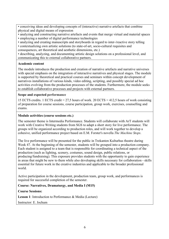• conceiving ideas and developing concepts of (interactive) narrative artefacts that combine physical and digital means of expression

- analyzing and constructing narrative artefacts and events that merge virtual and material spaces
- employing a number of digital performance technologies
- analyzing and creating manuscripts and storyboards in regard to inter-/reactive story telling

• contextualizing own artistic solutions (to state-of-art, socio-cultural requisites and consequences, art theoretical and aesthetic dimensions, etc.)

• describing, analyzing, and documenting artistic design solutions on a professional level, and communicating this to external collaborative partners.

# **Academic content**

The module introduces the production and creation of narrative artefacts and narrative universes with special emphasis on the integration of interactive narratives and physical stages. The module is supported by theoretical and practical courses and seminars within concept development of narratives installations of various kinds, video editing, scripting, and possibly special ad hoc activities evolving from the production processes of the students. Furthermore, the module seeks to establish collaborative processes and projects with external partners.

# **Scope and expected performance**

15 ECTS credits. 1 ECTS credit = 27,5 hours of work. 20 ECTS = 412,5 hours of work consisting of preparation for course sessions, course participation, group work, exercises, counselling and exams.

# **Module activities (course sessions etc.)**

The semester theme is Intermedia Performance. Students will collaborate with ArT students will work with Creative Writing students from SGS to adapt a short story for live performance. The groups will be organized according to production roles, and will work together to develop a cohesive, unified performance project based on E.M. Forster's novella *The Machine Stops*.

The live performance will be presented for the public in Trekanten Kulturhus theatre during Week 47. At the beginning of the semester, students will be grouped into a production company. Each student is assigned to a team that is responsible for coordinating a technical aspect of the production (such as lighting, scenery, costumes, sound design, public relations, or producing/fundraising). This exposure provides students with the opportunity to gain experience in areas that might be new to them while also developing skills necessary for collaboration - skills essential for future work in the creative industries and applicable to the broader professional world.

Active participation in the development, production team, group work, and performances is required for successful completion of the semester.

**Course: Narratives, Dramaturgy, and Media I (M15)**

# **Course Sessions:**

**Lesson 1**: Introduction to Performance & Media (Lecture)

Instructor: E. Jochum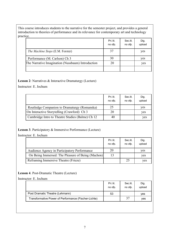This course introduces students to the narrative for the semester project, and provides a general introduction to theories of performance and its relevance for contemporary art and technology practice.

|                                                   | Pri.lit.<br>no ofp. | Sec.lit.<br>no ofp. | Dig.<br>upload |
|---------------------------------------------------|---------------------|---------------------|----------------|
| <i>The Machine Stops</i> (E.M. Forster)           | 37                  |                     | yes            |
| Performance (M. Carlson) Ch 3                     | 30                  |                     | yes            |
| The Narrative Imagination (Nussbaum) Introduction | 20                  |                     | yes            |
|                                                   |                     |                     |                |

**Lesson 2**: Narratives & Interactive Dramaturgy (Lecture)

Instructor: E. Jochum

|                                                  | Pri. lit.<br>no ofp. | Sec.lit.<br>no ofp. | Dig.<br>upload |
|--------------------------------------------------|----------------------|---------------------|----------------|
| Routledge Companion to Dramaturgy (Romanska)     | 25                   |                     | yes            |
| On Interactive Storytelling (Crawford) Ch 3      | 20                   |                     | yes            |
| Cambridge Intro to Theatre Studies (Balme) Ch 12 | 40                   |                     | yes            |

# **Lesson 3**. Participatory & Immersive Performance (Lecture)

Instructor: E. Jochum

|                                                   | Pri. lit.<br>no ofp. | Sec.lit.<br>no ofp. | Dig.<br>upload |
|---------------------------------------------------|----------------------|---------------------|----------------|
| Audience Agency in Participatory Performance      | 20                   |                     | yes            |
| On Being Immersed: The Pleasure of Being (Machon) |                      |                     | yes            |
| Reframing Immersive Theatre (Frieze)              |                      | 25                  | ves            |

# **Lesson 4**. Post-Dramatic Theatre (Lecture)

Instructor: E. Jochum

|                                                      | Pri.lit.<br>no ofp. | Sec.lit.<br>no ofp. | Dig.<br>upload |
|------------------------------------------------------|---------------------|---------------------|----------------|
| Post Dramatic Theatre (Lehmann)                      | 53                  |                     | ves            |
| Transformative Power of Performance (Fischer-Lichte) |                     | 37                  | ves            |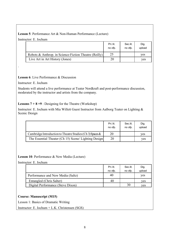# **Lesson 5**: Performance Art & Non-Human Performance (Lecture)

Instructor: E. Jochum

|                                                       | Pri.lit.<br>no ofp. | Sec.lit.<br>no ofp. | Dig.<br>upload |
|-------------------------------------------------------|---------------------|---------------------|----------------|
| Robots & Anthrop. in Science-Fiction Theatre (Reilly) | 25                  |                     | ves            |
| Live Art in Art History (Jones)                       | 20                  |                     | ves            |

# **Lesson 6**: Live Performance & Discussion

Instructor: E. Jochum

.

Students will attend a live performance at Teater Nordkraft and post-performance discussion, moderated by the instructor and artists from the company.

# **Lessons 7 + 8 +9** : Designing for the Theatre (Workshop)

Instructor: E. Jochum with Mia Willett Guest Instructor from Aalborg Teater on Lighting & Scenic Design

| upload |
|--------|
| ves    |
| ves    |
|        |

**Lesson 10**: Performance & New Media (Lecture)

Instructor: E. Jochum

|                                   | Pri. lit.<br>no ofp. | Sec.lit.<br>no ofp. | Dig.<br>upload |
|-----------------------------------|----------------------|---------------------|----------------|
| Performance and New Media (Saltz) | 40                   |                     | yes            |
| Entangled (Chris Salter)          | 40                   |                     | ves            |
| Digital Performance (Steve Dixon) |                      |                     | ves            |

# **Course: Manuscript (M15)**

Lesson 1: Basics of Dramatic Writing

Instructor: E. Jochum + L.K. Christensen (SGS)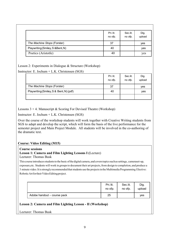|                                   | Pri.lit.<br>no ofp. | Sec.lit.<br>no ofp. | Dig.<br>upload |
|-----------------------------------|---------------------|---------------------|----------------|
| The Machine Stops (Forster)       | 37                  |                     | yes            |
| Playwriting (Smiley, S & Bent, N) | 40                  |                     | yes            |
| Poetics (Aristotle)               | 40                  |                     | yes            |

Lesson 2: Experiments in Dialogue & Structure (Workshop)

Instructor: E. Jochum + L.K. Christensen (SGS)

|                                         | Pri. lit.<br>no ofp. | Sec.lit.<br>no ofp. | Dig.<br>upload |
|-----------------------------------------|----------------------|---------------------|----------------|
| The Machine Stops (Forster)             | -37                  |                     | yes            |
| Playwriting (Smiley, S & Bent, N) (pdf) | 40                   |                     | yes            |
|                                         |                      |                     |                |

Lessons  $3 + 4$ . Manuscript & Scoring For Devised Theatre (Workshop)

Instructor: E. Jochum + L.K. Christensen (SGS)

Over the course of the workshop students will work together with Creative Writing students from SGS to adapt and develop the script, which will form the basis of the live performance for the semester project and Main Project Module. All students will be involved in the co-authoring of the dramatic text.

# **Course: Video Editing (M15)**

#### **Course sessions**

# **Lesson 1: Camera and Film Lighting Lessons I (**Lecture)

Lecturer: Thomas Busk

This course introducesstudentstothe basic ofthe digitalcamera,and coverstopicssuchassettings, cameraset-up, exposure,etc. Students will work in groups to document their art projects, from design to completion, and produce a 3 minute video.It isstronglyrecommendedthatstudents use the projectsinthe Multimedia Programming Elective: Robotic Art for their Video Editing project.

|                             | Pri. lit. | Sec.lit. | Dig.   |
|-----------------------------|-----------|----------|--------|
|                             | no ofp.   | no ofp.  | upload |
| Adobe handout - course pack | 25        |          | ves    |

# **Lesson 2: Camera and Film Lighting Lesson - II (Workshop)**

Lecturer: Thomas Busk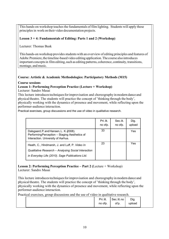This hands-on workshop teaches the fundamentals of film lighting. Students will apply these principlesin work on their video documentation projects.

# **Lesson 3 + 4: Fundamentals of Editing: Parts 1 and 2 (Workshop)**

Lecturer: Thomas Busk

This hands-on workshop provides students with an overview of editing principles and features of Adobe Premiere, the timeline-based video editing application. The course also introduces important concepts in film editing, such as editing patterns, coherence, continuity, transitions, montage, and music.

# **Course: Artistic & Academic Methodologies: Participatory Methods (M15)**

#### **Course sessions**

# **Lesson 1: Performing Perception Practice (Lecture + Workshop)**

Lecturer: Sandro Masai

This lecture introduces techniques for improvisation and choreography in modern dance and physical theatre. The students will practice the concept of 'thinking through the body', physically working with the dynamics of presence and movement, while reflecting upon the performer-audience interaction.

Practical exercises, group discussions and the use of video in qualitative research.

|                                                                                                                                                          | Pri. lit.<br>no ofp. | Sec.lit.<br>no ofp. | Dig.<br>upload |
|----------------------------------------------------------------------------------------------------------------------------------------------------------|----------------------|---------------------|----------------|
| Dalsgaard, P. and Hansen, L. K. (2008).<br>Performing Perception - Staging Aesthetics of<br>Interaction. University of Aarhus.                           | 33                   |                     | Yes            |
| Heath, C., Hindmarsh, J. and Luff, P. Video In<br>Qualitative Research - Analysing Social Interaction<br>in Everyday Life (2010). Sage Publications Ltd. | 23                   |                     | Yes            |

#### **Lesson 2: Performing Perception Practice – Part 2 (**Lecture + Workshop) Lecturer: Sandro Masai

This lecture introduces techniques for improvisation and choreography in modern dance and physical theatre. The students will practice the concept of 'thinking through the body', physically working with the dynamics of presence and movement, while reflecting upon the performer-audience interaction.

Practical exercises, group discussions and the use of video in qualitative research.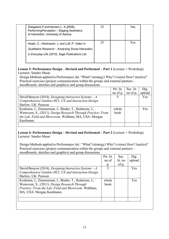| Dalsgaard, P. and Hansen, L. K. (2008).<br>Performing Perception - Staging Aesthetics<br>of Interaction. University of Aarhus. | 33 | Yes |  |
|--------------------------------------------------------------------------------------------------------------------------------|----|-----|--|
| Heath, C., Hindmarsh, J. and Luff, P. Video In                                                                                 | 23 | Yes |  |
| Qualitative Research - Analysing Social Interaction                                                                            |    |     |  |
| in Everyday Life (2010). Sage Publications Ltd.                                                                                |    |     |  |
|                                                                                                                                |    |     |  |

# **Lesson 3: Performance Design – Devised and Performed – Part 1** (Lecture + Workshop) Lecturer: Sandro Masai

Design Methods applied to Performance Art. "What? (strategy) Why? (vision) How? (tactics)" Practical exercises (project communication within the groups and external partners – moodboards, sketches and graphics) and group discussions

|                                                              | Pri. lit. | Sec. lit. | Dig.       |
|--------------------------------------------------------------|-----------|-----------|------------|
|                                                              | no of p.  | no of p.  | upload     |
| David Benyon (2014). Designing Interactive Systems $-A$      |           |           | Yes        |
| Comprehensive Guideto HCI, UX and Interaction Design.        |           |           |            |
| Harlow, UK: Pearson                                          |           |           |            |
| Koskinen, I., Zimmerman, J., Binder, T., Redstrom, J.,       | whole     |           | <b>Yes</b> |
| Wensveen, S., (2011). Design Research Through Practice: From | book      |           |            |
| the Lab, Field and Showroom. Waltham, MA, USA: Morgan        |           |           |            |
| Kaufmann.                                                    |           |           |            |
|                                                              |           |           |            |

# **Lesson 4: Performance Design – Devised and Performed – Part 2** (Lecture + Workshop) Lecturer: Sandro Masai

Design Methods applied to Performance Art.: "What? (strategy) Why? (vision) How? (tactics)" Practical exercises (project communication within the groups and external partners – moodboards, sketches and graphics) and group discussions

|                                                         | Pri. lit. | Sec.    | Dig.   |
|---------------------------------------------------------|-----------|---------|--------|
|                                                         | no of     | lit. no | upload |
|                                                         | p.        | of p.   |        |
| David Benyon (2014). Designing Interactive Systems $-A$ | 5         |         | Yes    |
| Comprehensive Guideto HCI, UX and Interaction Design.   |           |         |        |
| Harlow, UK: Pearson                                     |           |         |        |
| Koskinen, I., Zimmerman, J., Binder, T., Redstrom, J.,  | whole     |         | Yes    |
| Wensveen, S., (2011). Design Research Through           | book      |         |        |
| Practice: From the Lab, Field and Showroom. Waltham,    |           |         |        |
| MA, USA: Morgan Kaufmann.                               |           |         |        |
|                                                         |           |         |        |
|                                                         |           |         |        |
|                                                         |           |         |        |
|                                                         |           |         |        |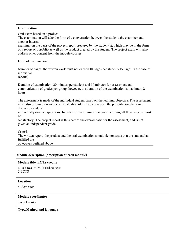# **Examination**

Oral exam based on a project The examination will take the form of a conversation between the student, the examiner and another internal

examiner on the basis of the project report prepared by the student(s), which may be in the form of a report or portfolio as well as the product created by the student. The project exam will also address other content from the module courses.

Form of examination: b)

Number of pages: the written work must not exceed 10 pages per student (15 pages in the case of individual

reports).

Duration of examination: 20 minutes per student and 10 minutes for assessment and communication of grades per group, however, the duration of the examination is maximum 2 hours.

The assessment is made of the individual student based on the learning objective. The assessment must also be based on an overall evaluation of the project report, the presentation, the joint discussion and the

individually oriented questions. In order for the examinee to pass the exam, all these aspects must be

satisfactory. The project report is thus part of the overall basis for the assessment, and is not given an independent grade.

Criteria:

The written report, the product and the oral examination should demonstrate that the student has fulfilled the

objectives outlined above.

#### **Module description (description of each module)**

#### **Module title, ECTS credits**

Mixed Reality (MR) Technologies 5 ECTS

#### **Location**

5. Semester

#### **Module coordinator**

Tony Brooks

**Type/Method and language**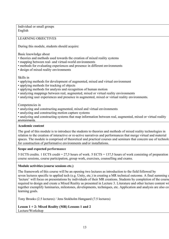Individual or small groups English

LEARNING OBJECTIVES

During this module, students should acquire:

Basic knowledge about

- theories and methods used towards the creation of mixed reality systems
- mapping between real- and virtual-world environments
- methods for evaluating experiences and presence in different environments
- design of mixed reality environments

# Skills in

- applying methods for development of augmented, mixed and virtual environment
- applying methods for tracking of objects
- applying methods for analysis and recognition of human motion
- analyzing mappings between real, augmented, mixed or virtual reality environments
- analyzing user experiences and presence in augmented, mixed or virtual reality environments.

Competencies in

- analyzing and constructing augmented, mixed and virtual environments
- analyzing and constructing motion capture systems

• analyzing and constructing systems that map information between real, augmented, mixed or virtual reality environments.

# **Academic content**

The goal of this module is to introduce the students to theories and methods of mixed reality technologies in relation to the creation of interactive or re-active narratives and performances that merge virtual and material spaces. The module is comprised of theoretical and practical courses and seminars that concern use of technologies for construction of performative environments and/or installations.

#### **Scope and expected performance**

5 ECTS credits. 1 ECTS credit = 27,5 hours of work. 5 ECTS = 137,5 hours of work consisting of preparation course sessions, course participation, group work, exercises, counselling and exams.

# **Module activities (course sessions etc.)**

The framework of this course will be an opening two lectures as introduction to the field followed by seven lectures specific to applied tech (e.g. Unity, etc.) in creating a MR technical outcome. A final summing u 'lecture' will focus on presentations by individuals of their MR creations. Students by completion of the course required to design and create a Mixed Reality as presented in Lecture 3. Literature and other lecture content wi together exemplify luminaries, milestones, developments, techniques, etc. Application and analysis are also co learning goals.

Tony Brooks (2.5 lectures) / Jens Stokholm Høngaard (7.5 lectures)

**Lesson 1 + 2: Mixed Reality (MR) Lessons 1 and 2** Lecture/Workshop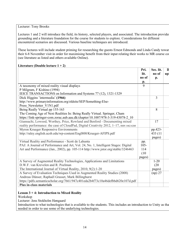Lecturer: Tony Brooks

Lectures 1 and 2 will introduce the field, its history, selected players, and associated. The introduction provides grounding and a literature foundation for the course for students to explore. Considerations for different encountered scenarios are discussed. Various baseline techniques are introduced.

These lectures will include student priming for researching the guests Ernest Edmonds and Linda Candy towar their 6-8 November visit in order for maximising benefit from their input relating their works to MR course co (see literature as listed and others available Online).

# **Literature (Double lecture 1 + 2)**

|                                                                                          | Pri.<br>lit. | Sec. lit. | D            |
|------------------------------------------------------------------------------------------|--------------|-----------|--------------|
|                                                                                          | no of        | no of     | $\mathbf{u}$ |
|                                                                                          | p.           | p.        |              |
| A taxonomy of mixed reality visual displays                                              | 9            |           |              |
| P Milgram, F Kishino (1994)                                                              |              |           |              |
| IEICE TRANSACTIONS on Information and Systems 77 (12), 1321-1329                         |              |           |              |
| Dick Higgins 'intermedia' (1966)                                                         |              | 3         |              |
| http://www.primaryinformation.org/oldsite/SEP/Something-Else-                            |              |           |              |
| Press Newsletter V1N1.pdf                                                                |              |           |              |
| Being Really Virtual pp 155-163                                                          |              | 8         |              |
| The Coming Age of Next Realities In: Being Really Virtual. Springer, Cham                |              |           |              |
| https://link-springer-com.zorac.aub.aau.dk/chapter/10.1007/978-3-319-43078-2 10          |              |           |              |
| Giannachi, Lowood, Worthey, Price, Rowland and Benford - Documenting mixed               |              | 17        |              |
| reality performance: the case of CloudPad, Digital Creativity 2012, 1-17, ISSN 1462-6268 |              |           |              |
| Myron Krueger Responsive Environments                                                    |              | pp.423-   |              |
| http://raley.english.ucsb.edu/wp-content/Engl800/Krueger-AFIPS.pdf                       |              | 433 (11)  |              |
|                                                                                          |              | pages)    |              |
| Virtual Reality and Performance - Scott de Lahunta                                       | pp.          |           |              |
| PAJ: A Journal of Performance and Art, Vol. 24, No. 1, Intelligent Stages: Digital       | $105 -$      |           |              |
| Art and Performance (Jan., 2002), pp. 105-114 http://www.jstor.org/stable/3246463        | 114          |           |              |
|                                                                                          | (10)         |           |              |
|                                                                                          | pages)       |           |              |
| A Survey of Augmented Reality Technologies, Applications and Limitations                 |              | $1 - 20$  |              |
| D.W.F. van Krevelen and R. Poelman                                                       |              | (20)      |              |
| The International Journal of Virtual Reality, 2010, 9(2):1-20                            |              | pages)    |              |
| A Survey of Evaluation Techniques Used in Augmented Reality Studies (2008)               |              | $(np)$ 27 |              |
| Andreas Dünser, Raphaël Grasset, Mark Billinghurst                                       |              |           |              |
| https://pdfs.semanticscholar.org/7661/947c401eda2b4f73c10a46defbbd620e107d.pdf           |              |           |              |
| <b>Plus in-class materials</b>                                                           |              |           |              |

# **Lesson 3 + 4: Introduction to Mixed Reality**

Workshop

Lecturer: Jens Stokholm Høngaard

Introduction to what technologies that is available to the students. This includes an introduction to Unity as tha needed in order to use some of the underlying technologies.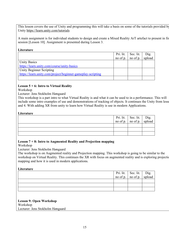This lesson covers the use of Unity and programming this will take a basis on some of the tutorials provided by Unity https://learn.unity.com/tutorials

A main assignment is for individual students to design and create a Mixed Reality ArT artefact to present in fin session [Lesson 10]. Assignment is presented during Lesson 3.

#### **Literature**

|                                                             | Pri. lit. | Sec. lit.                 | Dig.   |
|-------------------------------------------------------------|-----------|---------------------------|--------|
|                                                             |           | no of p. $\vert$ no of p. | upload |
| <b>Unity Basics</b>                                         |           |                           |        |
| https://learn.unity.com/course/unity-basics                 |           |                           |        |
| <b>Unity Beginner Scripting</b>                             |           |                           |        |
| https://learn.unity.com/project/beginner-gameplay-scripting |           |                           |        |
|                                                             |           |                           |        |

# **Lesson 5 + 6: Intro to Virtual Reality**

Workshop

Lecturer: Jens Stokholm Høngaard

This workshop is a part intro to what Virtual Reality is and what it can be used to in a performance. This will include some intro examples of use and demonstrations of tracking of objects. It continues the Unity from lesso and 4. With adding XR from unity to learn how Virtual Reality is use in modern Applications.

#### **Literature**

|  | Pri. lit. Sec. lit. Dig.<br>no of p. no of p. upload |  |
|--|------------------------------------------------------|--|
|  |                                                      |  |
|  |                                                      |  |
|  |                                                      |  |
|  |                                                      |  |

#### **Lesson 7 + 8: Intro to Augmented Reality and Projection mapping**

Workshop

Lecturer: Jens Stokholm Høngaard

The workshop is on Augmented reality and Projection mapping. This workshop is going to be similar to the workshop on Virtual Reality. This continues the XR with focus on augmented reality and is exploring projection mapping and how it is used in modern applications.

#### **Literature**

|  | Pri. lit. Sec. lit. Dig.<br>no of p. no of p. upload |  |
|--|------------------------------------------------------|--|
|  |                                                      |  |
|  |                                                      |  |
|  |                                                      |  |
|  |                                                      |  |

**Lesson 9: Open Workshop** Workshop Lecturer: Jens Stokholm Høngaard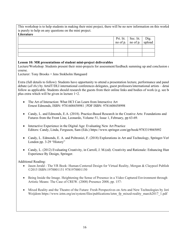This workshop is to help students in making their mini project, there will be no new information on this workshop is purely to help on any questions on the mini project.

#### **Literature**

|  | Pri. lit. Sec. lit. Dig.<br>no of p. no of p. upload |  |
|--|------------------------------------------------------|--|
|  |                                                      |  |
|  |                                                      |  |
|  |                                                      |  |
|  |                                                      |  |

# **Lesson 10: MR presentations of student mini-project deliverables**

Lecture/Workshop: Students present their mini-projects for assessment/feedback summing up and conclusion of course.

Lecturer: Tony Brooks + Jens Stokholm Høngaard

Extra (full details to follow): Students have opportunity to attend a presentation lecture, performance and panel debate (*all tbc*) by ArtsIT/DLI international conferences delegates, guest professors/international artists – detai follow as applicable. Students should research the guests from their online links and bodies of work (e.g. see b plus extra which will be given in lecture 1+2.

- The Art of Interaction: What HCI Can Learn from Interactive Art Ernest Edmonds, ISBN: 9781608458981 | PDF ISBN: 9781608458998
- Candy, L. and Edmonds, E.A. (2018). Practice-Based Research in the Creative Arts: Foundations and Futures from the Front Line, Leonardo, Volume 51, Issue 1, February, pp 63-69.
- Interactive Experience in the Digital Age: Evaluating New Art Practice Editors: Candy, Linda, Ferguson, Sam (Eds.) https://www.springer.com/gp/book/9783319045092
- Candy, L. Edmonds, E. A. and Poltroniei, F. (2018) Explorations in Art and Technology, Springer-Verl London pp. 3-29 "History"
- Candy, L. (2012) Evaluating Creativity, in Carroll, J. M. (ed). Creativity and Rationale: Enhancing Hum Experience By Design, Springer.

Additional Reading:

- Jason Jerald The VR Book: Human-Centered Design for Virtual Reality, Morgan & Claypool Publish ©2015 ISBN:1970001151 9781970001150
- Being Inside the Image. Heightening the Sense of Presence in a Video Captured Environment through Artistic Means: The Case of CREW. (2008) Presence 2008, pp. 157-
- Mixed Reality and the Theatre of the Future: Fresh Perspectives on Arts and New Technologies by Jori Weijdom https://www.ietm.org/en/system/files/publications/ietm\_fp\_mixed-reality\_march2017\_1.pdf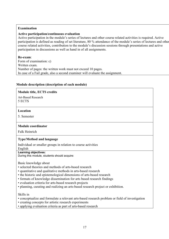#### **Examination**

#### **Active participation/continuous evaluation**

Active participation in the module's series of lectures and other course related activities is required. Active participation is defined as reading of set literature, 80 % attendance of the module's series of lectures and other course related activities, contribution to the module's discussion sessions through presentations and active participation in discussions as well as hand in of all assignments.

#### **Re-exam**:

Form of examination: c) Written exam. Number of pages: the written work must not exceed 10 pages. In case of a Fail grade, also a second examiner will evaluate the assignment.

#### **Module description (description of each module)**

#### **Module title, ECTS credits**

Art-Based Research 5 ECTS

#### **Location**

5. Semester

#### **Module coordinator**

Falk Heinrich

#### **Type/Method and language**

Individual or smaller groups in relation to course activities

# English

#### **Learning objectives:**

During this module, students should acquire:

Basic knowledge about

- selected theories and methods of arts-based research
- quantitative and qualitative methods in arts-based research
- the historic and epistemological dimensions of arts-based research
- formats of knowledge dissemination for arts based research findings
- evaluation criteria for arts-based research projects
- planning, curating and realizing an arts-based research project or exhibition.

#### Skills in

- conceptualize and formulate a relevant arts-based research problem or field of investigation
- creating concepts for artistic research experiments
- applying evaluation criteria as part of arts-based research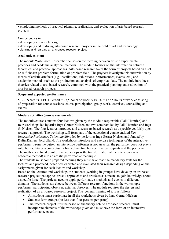• employing methods of practical planning, realization, and evaluation of arts-based research projects.

Competencies in

- developing a research design
- developing and realizing arts-based research projects in the field of art and technology
- planning and realizing an arts-based research project.

# **Academic content**

The module "Art-Based Research" focuses on the meeting between artistic experimental practices and academic,analytical methods. The module focuses on the interrelation between theoretical and practical approaches. Arts-based research takes the form of projects based on a set or self-chosen problem formulation or problem field. The projects investigate this interrelation by means of artistic artefacts (e.g. installations, exhibitions, performances, events, etc.) and academic methods such as the production and analysis of empirical data. The module introduces theories related to arts-based research, combined with the practical planning and realization of arts-based research projects.

# **Scope and expected performance**

5 ECTS credits. 1 ECTS credit = 27,5 hours of work. 5 ECTS = 137,5 hours of work consisting of preparation for course sessions, course participation, group work, exercises, counselling and exams.

# **Module activities (course sessions etc.)**

The module/course contains four lectures given by the module responsible (Falk Heinrich) and four workshops led by artist Inga Gerner Nielsen and two seminars led by Falk Heinrich and Inga G. Nielsen. The four lectures introduce and discuss art-based research as a specific yet fairly open research approach. The workshop will form part of the educational course entitled *Den Interaktive Performers Talentudvikling* led by performer Inga Gerner Nielsen and funded by KulturKanten Nordjylland. The workshops introduce and exercise techniques of the interactive performer. From the outset, an interactive performer is not an actor, the performer does not play a role, but facilitates a conceptually framed meeting between the participants and the performer. The methodical focal point of the workshops is the transformation of the interview (as an academic method) into an artistic performative technique.

The students must come prepared meaning they must have read the mandatory texts for the lectures and produced, described, executed and evaluated their research design depending on the assignments given for each lecture and workshop.

Based on the lectures and workshop, the students (working in groups) have develop an art-based research project that applies artistic approaches and artefacts as a means to gain knowledge about a specific issue. The projects need to apply performative methods and events in different domains. The students can choose between different research functions in the workshops: performer, participating observer, external observer. The module requires the design and realization of an art-based research project. The general framing of it is as follows:

- All students must participate in all the workshops given by Inga Gerner Nielsen
- Students form groups (no less than four persons per group)
- The research project must be based on the theory behind art-based research, must incorporate elements of the workshops given and must have the form of an interactive performance event.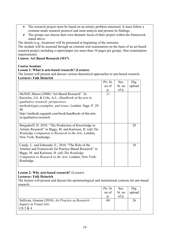- The research project must be based on an artistic problem statement. It must follow a costume-made research protocol and must analyze and present its findings.
- The groups can choose their own thematic focus of their project within the framework stated above

The details (e.g., locations) will be presented at beginning of the semester.

The module will be assessed through an external oral examination on the basis of an art-based research project including a report/paper (no more than 10 pages per group). (See examination requirements)

# **Course: Art Based Research (M17)**

#### **Course Sessions**

#### **Lesson 1: What is arts-based research? (Lecture)**

The lecture will present and discuss various theoretical approaches to arts-based research. **Lecturer: Falk Heinrich**

|                                                                  | Pri. lit.   | Sec.    | Dig.   |
|------------------------------------------------------------------|-------------|---------|--------|
|                                                                  | no of       | lit. no | upload |
|                                                                  | $p_{\cdot}$ | of p.   |        |
| McNiff, Shawn (2008) "Art-Based Research" In                     | 11          |         |        |
| Knowles, J.G. & Cole, A.L., <i>Handbook of the arts in</i>       |             |         |        |
| qualitative research: perspectives,                              |             |         |        |
| <i>methodologies, examples, and issues. London: Sage. P. 29-</i> |             |         |        |
| 40                                                               |             |         |        |
| http://methods.sagepub.com/book/handbook-of-the-arts-            |             |         |        |
| in-qualitative-research                                          |             |         |        |
|                                                                  |             |         |        |
| Borgsdorff, H. 2010. "The Production of Knowledge in             |             |         | 20     |
| Artistic Research" in Biggs, M. and Karlsson, H. (ed) The        |             |         |        |
| Routledge Companion to Research in the Arts. London,             |             |         |        |
| New York: Routledge.                                             |             |         |        |
|                                                                  |             |         |        |
| Candy, L. and Edmonds, E., 2010. "The Role of the                |             |         | 18     |
| Artefact and Framework for Practice-Based Research" in           |             |         |        |
| Biggs, M. and Karlsson, H. (ed) The Routledge                    |             |         |        |
| Companion to Research in the Arts. London, New York:             |             |         |        |
| Routledge.                                                       |             |         |        |
|                                                                  |             |         |        |

#### **Lesson 2: Why arts-based research?** (Lecture) **Lecturer: Falk Heinrich**

The lecture will present and discuss the epistemological and institutional contexts for arts-based research.

| Pri. lit. | Sec.    | Dig.   |
|-----------|---------|--------|
| no of     | lit. no | upload |
| p.        | of p.   |        |
| 60        |         | 26     |
|           |         |        |
|           |         |        |
|           |         |        |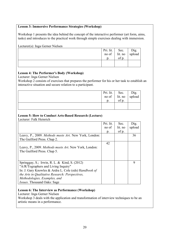#### **Lesson 3: Immersive Performance Strategies (Workshop)**

Workshop 1 presents the idea behind the concept of the interactive performer (art form, aims, tasks) and introduces to the practical work through simple exercises dealing with immersion.

Lecturer(s): Inga Gerner Nielsen

|                | Pri. lit. Sec. $\overline{Diag}$ no of lit. no $\overline{Diag}$ . |  |
|----------------|--------------------------------------------------------------------|--|
|                |                                                                    |  |
| D <sub>1</sub> | of p.                                                              |  |
|                |                                                                    |  |
|                |                                                                    |  |

# **Lesson 4: The Performer's Body (Workshop)**

Lecturer: Inga Gerner Nielsen

Workshop 2 consists of exercises that prepares the performer for his or her task to establish an interactive situation and secure relation to a participant.

| Pri. lit.           | Sec.                          |                |
|---------------------|-------------------------------|----------------|
| $\log$ no of $\log$ | $\frac{1}{1}$ it. no<br>of p. | Dig.<br>upload |
| $\mathfrak{D}.$     |                               |                |
|                     |                               |                |
|                     |                               |                |

# **Lesson 5: How to Conduct Arts-Based Research (Lecture)**

Lecturer: Falk Heinrich

|                                                       | Pri. lit. | Sec.    | Dig.   |
|-------------------------------------------------------|-----------|---------|--------|
|                                                       | no of     | lit. no | upload |
|                                                       | p.        | of p.   |        |
| Leavy, P., 2009. Methods meets Art. New York, London: |           |         | 36     |
| The Guilford Press. Chap 2.                           |           |         |        |
|                                                       | 42        |         |        |
| Leavy, P., 2009. Methods meets Art. New York, London: |           |         |        |
| The Guilford Press. Chap 5.                           |           |         |        |
|                                                       |           |         |        |
|                                                       |           |         |        |
| Springgay, S.; Irwin, R. L. & Kind, S. (2012)         |           |         | 9      |
| "A/R/Tographers and Living Inquiry"                   |           |         |        |
| In: J. Gary Knowles & Ardra L. Cole (eds) Handbook of |           |         |        |
| the Arts in Qualitative Research: Perspectives,       |           |         |        |
| Methodologies, Examples, and                          |           |         |        |
| <i>Issues</i> . Thousand Oaks: Sage                   |           |         |        |

#### **Lesson 6: The Interview as Performance (Workshop)**

Lecturer: Inga Gerner Nielsen

Workshop 3 deals with the application and transformation of interview techniques to be an artistic means in a performance.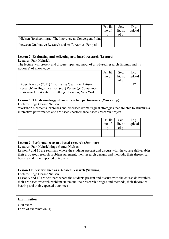|                                                           | Pri. lit.<br>no of | Sec.<br>lit. no | $\sum_{i=1}^{n}$<br>upload |
|-----------------------------------------------------------|--------------------|-----------------|----------------------------|
|                                                           | $\mathbf{D}$ .     | of p.           |                            |
| Nielsen (forthcoming), "The Interview as Convergent Point |                    |                 |                            |
| between Qualitative Research and Art". Aarhus: Peripeti   |                    |                 |                            |

# **Lesson 7: Evaluating and reflecting arts-based research (Lecture)**

Lecturer: Falk Heinrich

The lecture will present and discuss types and modi of arts-based research findings and its notion(s) of knowledge.

|                                                       | Pri. lit. | Sec.    | Dig.   |
|-------------------------------------------------------|-----------|---------|--------|
|                                                       | no of     | lit. no | upload |
|                                                       |           | of p.   |        |
| Biggs; Karlson (2011) "Evaluating Quality in Artistic |           |         |        |
| Research" in Biggs; Karlson (eds) Routledge Companion |           |         |        |
| to Research in the Arts. Routledge: London, New York  |           |         |        |

# **Lesson 8: The dramaturgy of an interactive performance (Workshop)**

Lecturer: Inga Gerner Nielsen

Workshop 4 presents, exercises and discusses dramaturgical strategies that are able to structure a interactive performance and art-based (performance-based) research project.

|  | Pri. lit. Sec. Dig.<br>no of lit. no upload<br>p. of p. |  |
|--|---------------------------------------------------------|--|
|  |                                                         |  |
|  |                                                         |  |
|  |                                                         |  |
|  |                                                         |  |

# **Lesson 9: Performance as art-based research (Seminar)**

Lecturer: Falk Heinrich/Inga Gerner Nielsen

Lesson 9 and 10 are seminars where the students present and discuss with the course deliverables their art-based research problem statement, their research designs and methods, their theoretical bearing and their expected outcomes.

# **Lesson 10: Performance as art-based research (Seminar)**

Lecturer: Inga Gerner Nielsen

Lesson 9 and 10 are seminars where the students present and discuss with the course deliverables their art-based research problem statement, their research designs and methods, their theoretical bearing and their expected outcomes.

# **Examination**

Oral exam Form of examination: a)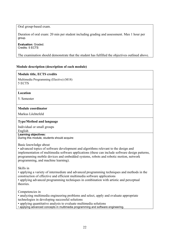Oral group-based exam.

Duration of oral exam: 20 min per student including grading and assessment. Max 1 hour per group.

**Evaluation**: Graded. Credits: 5 ECTS

The examination should demonstrate that the student has fulfilled the objectives outlined above.

# **Module description (description of each module)**

#### **Module title, ECTS credits**

Multimedia Programming (Elective) (M18) 5 ECTS

#### **Location**

5. Semester

# **Module coordinator**

Markus Löchtefeld

# **Type/Method and language**

Individual or small groups English

**Learning objectives:** 

During this module, students should acquire:

Basic knowledge about

• advanced topics of software development and algorithms relevant to the design and implementation of multimedia software applications (these can include software design patterns, programming mobile devices and embedded systems, robots and robotic motion, network programming, and machine learning).

Skills in

• applying a variety of intermediate and advanced programming techniques and methods in the construction of effective and efficient multimedia software applications

• applying advanced programming techniques in combination with artistic and perceptual theories.

Competencies in

• analyzing multimedia engineering problems and select, apply and evaluate appropriate technologies in developing successful solutions

• applying quantitative analysis to evaluate multimedia solutions

• applying advanced concepts in multimedia programming and software engineering.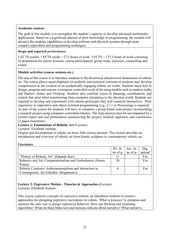# **Academic content**

The goal of this module is to strengthen the student's capacity to develop advanced multimedia applications. Based on a significant amount of prior knowledge of programming, the module will advance the students capabilities to develop software and physical systems through more complex algorithms and programming techniques.

# **Scope and expected performance**

5 ECTS credits. 1 ECTS credit = 27,5 hours of work. 5 ECTS = 137,5 hours of work consisting of preparation for course sessions, course participation, group work, exercises, counselling and exams.

# **Module activities (course sessions etc.)**

The aim of this course is to introduce students to the theoretical and practical dimensions of robotic art. The course places equal emphasis on aesthetic and technical concerns so students may develop competencies in the creation of an aesthetically engaging robotic art works. Students learn how to design, program and execute a computer-controlled work of art using models such as random walks and Markov chains and Flocking. Students also confront issues in planning, coordination, and control that arise when transitioning from computer simulation to the physical world. Students are required to develop and experiment with robotic prototypes they will construct themselves. Prior experience in imperative and object-oriented programming (e.g., C++ or Processing) is required. As part of the course the students will have to complete a group-based mini-project incorporating a research project using computer-controlled robotics. The mini-project must be accompanied by a written report and oral presentation summarizing the project, method, approach, and conclusions (3 pages maximum).

# **Lecture 1: Foundations of Robotic Art** (Lecture)

#### Lecturer: Elizabeth Jochum

Origins and development of robotic art from 20th century-present. This lecture provides an introduction and overview of robotic art from kinetic sculpture to contemporary robotic art.

#### **Literature**

|                                                           | Pri. lit.   | Sec. lit. | Dig.   |
|-----------------------------------------------------------|-------------|-----------|--------|
|                                                           | no of $p$ . | no of p.  | upload |
| "History of Robotic Art" (Eduardo Kac)                    |             |           | Yes    |
| Robotics and Art, Computationalism and Embodiment (Simon) | 20          |           | Yes    |
| Penny)                                                    |             |           |        |
| Robotic Creatures: Anthropomorphism and Interaction in    |             |           | Yes    |
| Contemporary Art (Ghedini; Bergamasco)                    |             |           |        |

# **Lecture 2: Expressive Motion - Theories & Approaches (**Lecture)

Lecturer: Elizabeth Jochum

This course explores concepts of expressive motion, an introduces students to creative approaches for designing expressive movement for robots. What is kinesics? Is imitation and mimesis the only way to design expressive behavior. How can flocking and swarming algorithms? What do these behaviors and motions indicate about narrative? What narrative,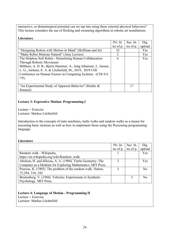interactive, or dramaturgical potential can we tap into using these external physical behaviors? This lecture considers the use of flocking and swarming algorithms in robotic art installations.

#### **Literature**

|                                                                   | Pri. lit. | Sec. lit. | Dig.       |
|-------------------------------------------------------------------|-----------|-----------|------------|
|                                                                   | no of p.  | no of p.  | upload     |
| "Designing Robots with Motion in Mind" (Hoffman and Ju)           | 32        |           | Yes        |
| "Make Robot Motions Natural" (Amy Laviers)                        | 2         |           | Yes        |
| The Helpless Soft Robot - Stimulating Human Collaboration         | 6         |           | <b>Yes</b> |
| <b>Through Robotic Movement</b>                                   |           |           |            |
| Milthers, A. D. B., Bjerre Hammer, A., Jung Johansen, J., Jensen, |           |           |            |
| L. G., Jochum, E. A. & Löchtefeld, M., 2019, 2019 CHI             |           |           |            |
| Conference on Human Factors in Computing Systems. (CHI EA         |           |           |            |
| $'19$ ).                                                          |           |           |            |
|                                                                   |           |           |            |
| "An Experimental Study of Apparent Behavior" (Heider &            |           | 17        |            |
| Simmel)                                                           |           |           |            |

#### **Lecture 3: Expressive Motion: Programming I**

Lecture + Exercise Lecturer: Markus Löchtefeld

Introduction to the concepts of state machines, turtle walks and random walks as a means for executing basic motions as well as how to implement those using the Processing programming language.

#### **Literature**

|                                                             | Pri. lit. | Sec. lit. | Dig.           |
|-------------------------------------------------------------|-----------|-----------|----------------|
|                                                             | no of p.  | no of p.  | upload         |
| Random walk - Wikipedia,                                    |           |           | Yes            |
| https://en.wikipedia.org/wiki/Random walk                   |           |           |                |
| Abelson, H. and diSessa, A. A. (1980). Turtle Geometry: The | 3         |           | Yes            |
| Computer as a Medium for Exploring Mathematics. MIT Press.  |           |           |                |
| Pearson, K. (1905). The problem of the random walk. Nature, | 3         |           | N <sub>0</sub> |
| 72:294, 318, 342.                                           |           |           |                |
| Braitenberg, V. (1984). Vehicles: Experiments in Synthetic  |           | 3         | N <sub>0</sub> |
| Psychology. MIT Press.                                      |           |           |                |

# **Lecture 4: Language of Motion - Programming II**

Lecture + Exercise

Lecturer: Markus Löchtefeld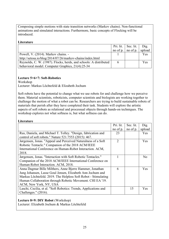Composing simple motions with state transition networks (Markov chains). Non-functional animations and simulated interactions. Furthermore, basic concepts of Flocking will be introduced.

#### **Literature**

|                                                                   |   | Pri. lit. $\vert$ Sec. lit. $\vert$ | Dig.   |
|-------------------------------------------------------------------|---|-------------------------------------|--------|
|                                                                   |   | no of $p$ . no of $p$ .             | upload |
| Powell, V. (2014). Markov chains. -                               |   |                                     | Yes    |
| http://setosa.io/blog/2014/07/26/markov-chains/index.html         |   |                                     |        |
| Reynolds, C. W. (1987). Flocks, herds, and schools: A distributed | 6 |                                     | Yes    |
| behavioral model. Computer Graphics, 21(4):25-34                  |   |                                     |        |

#### **Lecture 5+6+7: Soft-Robotics**

Workshop

Lecturer: Markus Löchtefeld & Elizabeth Jochum

Soft robots have the potential to change what we use robots for and challenge how we perceive them. Material scientists, roboticists, computer scientists and biologists are working together to challenge the motion of what a robot can be. Researchers are trying to build sustainable robots of materials that perish after they have completed their task. Students will explore the artistic aspects of soft robots as relational and processual objects through hands-on techniques. The workshop explores not what softness is, but what softness can do.

#### **Literature**

|                                                                  | Pri. lit.      | Sec. lit. | Dig.       |
|------------------------------------------------------------------|----------------|-----------|------------|
|                                                                  | no of p.       | no of p.  | upload     |
| Rus, Daniela, and Michael T. Tolley. "Design, fabrication and    | 23             |           | <b>Yes</b> |
| control of soft robots." Nature 521.7553 (2015): 467.            |                |           |            |
| Jørgensen, Jonas. "Appeal and Perceived Naturalness of a Soft    | $\overline{2}$ |           | Yes        |
| Robotic Tentacle." Companion of the 2018 ACM/IEEE                |                |           |            |
| International Conference on Human-Robot Interaction. ACM,        |                |           |            |
| 2018.                                                            |                |           |            |
| Jørgensen, Jonas. "Interaction with Soft Robotic Tentacles."     |                |           | No         |
| Companion of the 2018 ACM/IEEE International Conference on       |                |           |            |
| Human-Robot Interaction. ACM, 2018.                              |                |           |            |
| Anna Dagmar Bille Milthers, Anne Bjerre Hammer, Jonathan         | 6              |           | <b>Yes</b> |
| Jung Johansen, Lasse Goul Jensen, Elizabeth Ann Jochum and       |                |           |            |
| Markus Löchtefeld. 2019. The Helpless Soft Robot - Stimulating   |                |           |            |
| Human Collaboration through Robotic Movement. CHI EA '19.        |                |           |            |
| ACM, New York, NY, USA                                           |                |           |            |
| Laschi, Cecilia, et al. "Soft Robotics: Trends, Applications and |                | 15        | <b>Yes</b> |
| Challenges." $(2016)$ .                                          |                |           |            |

#### **Lecture 8+9: DIY Robot** (Workshop)

Lecturer: Elizabeth Jochum & Markus Löchtefeld